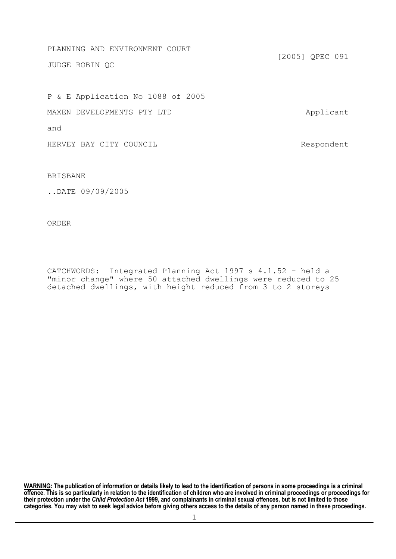PLANNING AND ENVIRONMENT COURT [2005] QPEC 091 JUDGE ROBIN QC

P & E Application No 1088 of 2005 MAXEN DEVELOPMENTS PTY LTD Applicant and HERVEY BAY CITY COUNCIL **Example 19** Respondent

BRISBANE

..DATE 09/09/2005

ORDER

CATCHWORDS: Integrated Planning Act 1997 s 4.1.52 - held a "minor change" where 50 attached dwellings were reduced to 25 detached dwellings, with height reduced from 3 to 2 storeys

**WARNING: The publication of information or details likely to lead to the identification of persons in some proceedings is a criminal offence. This is so particularly in relation to the identification of children who are involved in criminal proceedings or proceedings for their protection under the** *Child Protection Act* **1999, and complainants in criminal sexual offences, but is not limited to those categories. You may wish to seek legal advice before giving others access to the details of any person named in these proceedings.**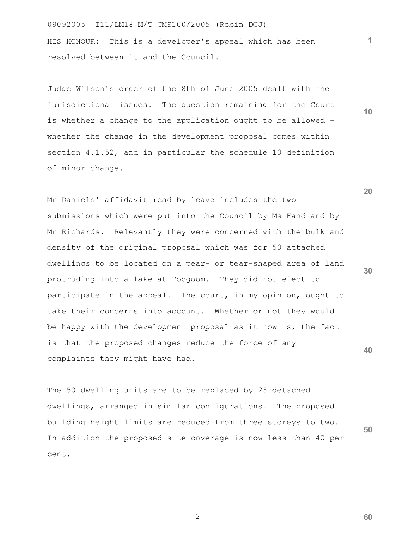09092005 T11/LM18 M/T CMS100/2005 (Robin DCJ) HIS HONOUR: This is a developer's appeal which has been resolved between it and the Council.

Judge Wilson's order of the 8th of June 2005 dealt with the jurisdictional issues. The question remaining for the Court is whether a change to the application ought to be allowed whether the change in the development proposal comes within section 4.1.52, and in particular the schedule 10 definition of minor change.

Mr Daniels' affidavit read by leave includes the two submissions which were put into the Council by Ms Hand and by Mr Richards. Relevantly they were concerned with the bulk and density of the original proposal which was for 50 attached dwellings to be located on a pear- or tear-shaped area of land protruding into a lake at Toogoom. They did not elect to participate in the appeal. The court, in my opinion, ought to take their concerns into account. Whether or not they would be happy with the development proposal as it now is, the fact is that the proposed changes reduce the force of any complaints they might have had.

The 50 dwelling units are to be replaced by 25 detached dwellings, arranged in similar configurations. The proposed building height limits are reduced from three storeys to two. In addition the proposed site coverage is now less than 40 per cent.

**20**

**10**

**30**

**40**

**60**

**50**

**1**